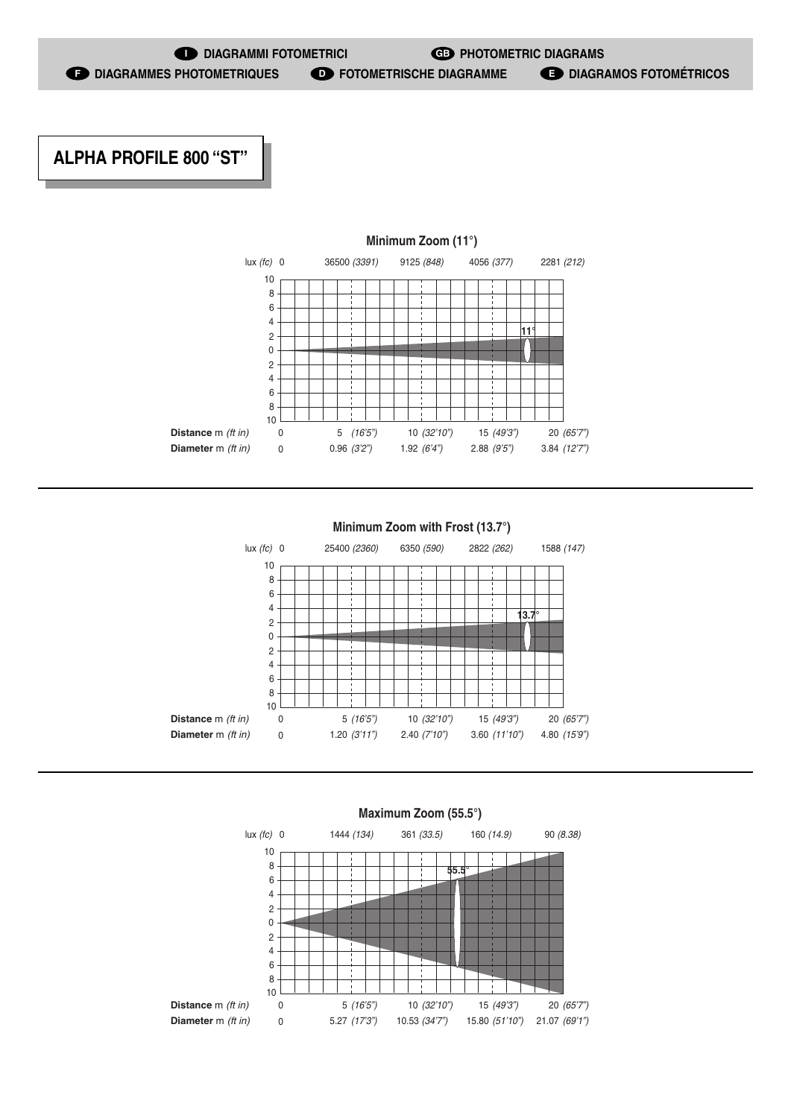## **ALPHA PROFILE 800 "ST"**







## **Minimum Zoom with Frost (13.7°)**